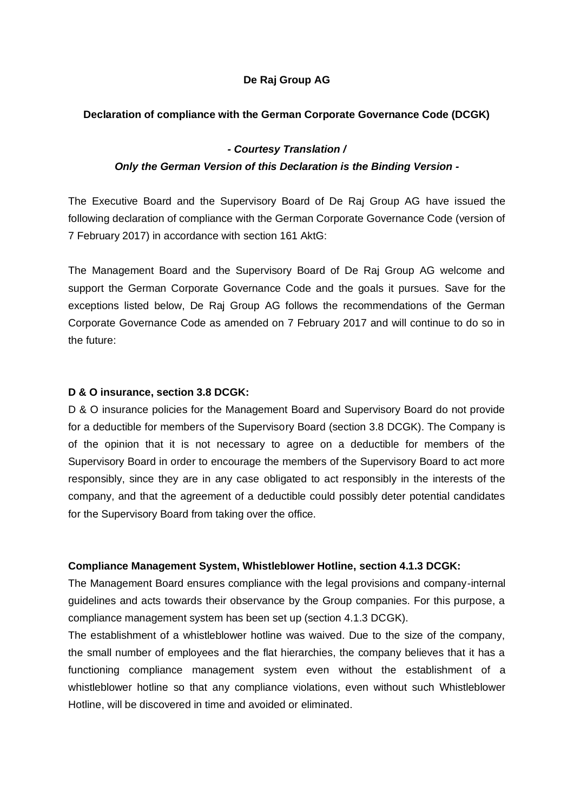# **De Raj Group AG**

### **Declaration of compliance with the German Corporate Governance Code (DCGK)**

## *- Courtesy Translation /*

## *Only the German Version of this Declaration is the Binding Version -*

The Executive Board and the Supervisory Board of De Raj Group AG have issued the following declaration of compliance with the German Corporate Governance Code (version of 7 February 2017) in accordance with section 161 AktG:

The Management Board and the Supervisory Board of De Raj Group AG welcome and support the German Corporate Governance Code and the goals it pursues. Save for the exceptions listed below, De Raj Group AG follows the recommendations of the German Corporate Governance Code as amended on 7 February 2017 and will continue to do so in the future:

#### **D & O insurance, section 3.8 DCGK:**

D & O insurance policies for the Management Board and Supervisory Board do not provide for a deductible for members of the Supervisory Board (section 3.8 DCGK). The Company is of the opinion that it is not necessary to agree on a deductible for members of the Supervisory Board in order to encourage the members of the Supervisory Board to act more responsibly, since they are in any case obligated to act responsibly in the interests of the company, and that the agreement of a deductible could possibly deter potential candidates for the Supervisory Board from taking over the office.

#### **Compliance Management System, Whistleblower Hotline, section 4.1.3 DCGK:**

The Management Board ensures compliance with the legal provisions and company-internal guidelines and acts towards their observance by the Group companies. For this purpose, a compliance management system has been set up (section 4.1.3 DCGK).

The establishment of a whistleblower hotline was waived. Due to the size of the company, the small number of employees and the flat hierarchies, the company believes that it has a functioning compliance management system even without the establishment of a whistleblower hotline so that any compliance violations, even without such Whistleblower Hotline, will be discovered in time and avoided or eliminated.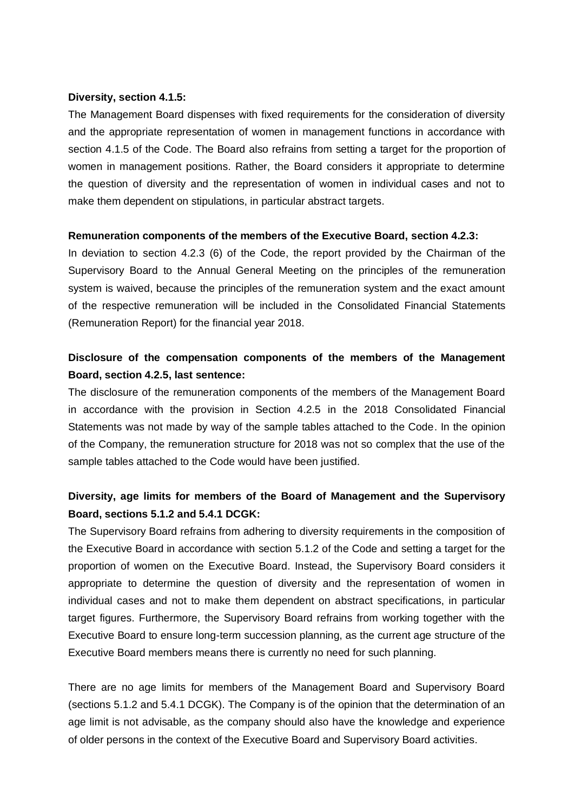#### **Diversity, section 4.1.5:**

The Management Board dispenses with fixed requirements for the consideration of diversity and the appropriate representation of women in management functions in accordance with section 4.1.5 of the Code. The Board also refrains from setting a target for the proportion of women in management positions. Rather, the Board considers it appropriate to determine the question of diversity and the representation of women in individual cases and not to make them dependent on stipulations, in particular abstract targets.

#### **Remuneration components of the members of the Executive Board, section 4.2.3:**

In deviation to section 4.2.3 (6) of the Code, the report provided by the Chairman of the Supervisory Board to the Annual General Meeting on the principles of the remuneration system is waived, because the principles of the remuneration system and the exact amount of the respective remuneration will be included in the Consolidated Financial Statements (Remuneration Report) for the financial year 2018.

# **Disclosure of the compensation components of the members of the Management Board, section 4.2.5, last sentence:**

The disclosure of the remuneration components of the members of the Management Board in accordance with the provision in Section 4.2.5 in the 2018 Consolidated Financial Statements was not made by way of the sample tables attached to the Code. In the opinion of the Company, the remuneration structure for 2018 was not so complex that the use of the sample tables attached to the Code would have been justified.

# **Diversity, age limits for members of the Board of Management and the Supervisory Board, sections 5.1.2 and 5.4.1 DCGK:**

The Supervisory Board refrains from adhering to diversity requirements in the composition of the Executive Board in accordance with section 5.1.2 of the Code and setting a target for the proportion of women on the Executive Board. Instead, the Supervisory Board considers it appropriate to determine the question of diversity and the representation of women in individual cases and not to make them dependent on abstract specifications, in particular target figures. Furthermore, the Supervisory Board refrains from working together with the Executive Board to ensure long-term succession planning, as the current age structure of the Executive Board members means there is currently no need for such planning.

There are no age limits for members of the Management Board and Supervisory Board (sections 5.1.2 and 5.4.1 DCGK). The Company is of the opinion that the determination of an age limit is not advisable, as the company should also have the knowledge and experience of older persons in the context of the Executive Board and Supervisory Board activities.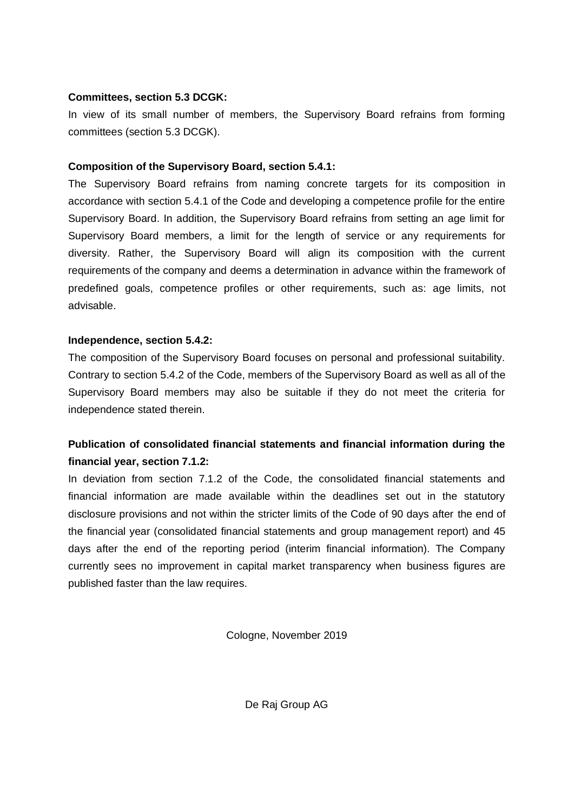## **Committees, section 5.3 DCGK:**

In view of its small number of members, the Supervisory Board refrains from forming committees (section 5.3 DCGK).

## **Composition of the Supervisory Board, section 5.4.1:**

The Supervisory Board refrains from naming concrete targets for its composition in accordance with section 5.4.1 of the Code and developing a competence profile for the entire Supervisory Board. In addition, the Supervisory Board refrains from setting an age limit for Supervisory Board members, a limit for the length of service or any requirements for diversity. Rather, the Supervisory Board will align its composition with the current requirements of the company and deems a determination in advance within the framework of predefined goals, competence profiles or other requirements, such as: age limits, not advisable.

## **Independence, section 5.4.2:**

The composition of the Supervisory Board focuses on personal and professional suitability. Contrary to section 5.4.2 of the Code, members of the Supervisory Board as well as all of the Supervisory Board members may also be suitable if they do not meet the criteria for independence stated therein.

# **Publication of consolidated financial statements and financial information during the financial year, section 7.1.2:**

In deviation from section 7.1.2 of the Code, the consolidated financial statements and financial information are made available within the deadlines set out in the statutory disclosure provisions and not within the stricter limits of the Code of 90 days after the end of the financial year (consolidated financial statements and group management report) and 45 days after the end of the reporting period (interim financial information). The Company currently sees no improvement in capital market transparency when business figures are published faster than the law requires.

Cologne, November 2019

De Raj Group AG